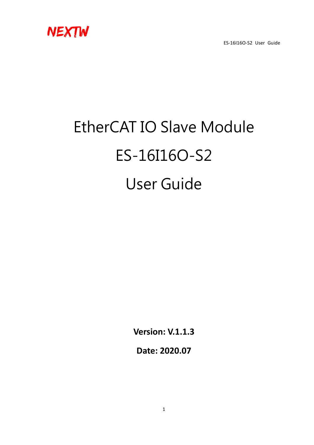

# EtherCAT IO Slave Module ES-16I16O-S2 User Guide

**Version: V.1.1.3**

**Date: 2020.07**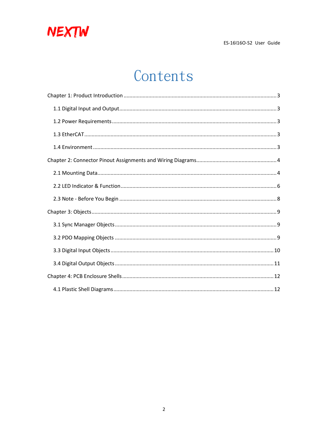

## Contents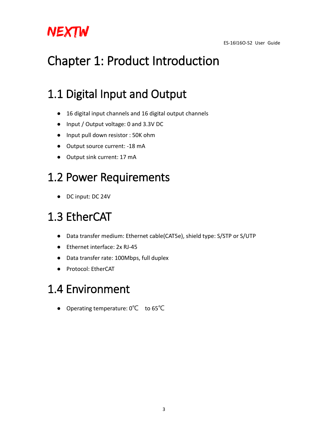

## <span id="page-2-0"></span>Chapter 1: Product Introduction

## <span id="page-2-1"></span>1.1 Digital Input and Output

- 16 digital input channels and 16 digital output channels
- Input / Output voltage: 0 and 3.3V DC
- Input pull down resistor : 50K ohm
- Output source current: -18 mA
- Output sink current: 17 mA

## <span id="page-2-2"></span>1.2 Power Requirements

● DC input: DC 24V

## <span id="page-2-3"></span>1.3 EtherCAT

- Data transfer medium: Ethernet cable(CAT5e), shield type: S/STP or S/UTP
- Ethernet interface: 2x RJ-45
- Data transfer rate: 100Mbps, full duplex
- Protocol: EtherCAT

### <span id="page-2-4"></span>1.4 Environment

● Operating temperature: 0℃ to 65℃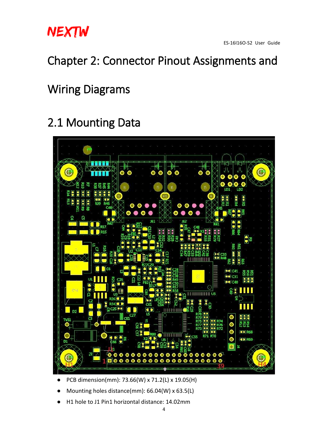

### <span id="page-3-0"></span>Chapter 2: Connector Pinout Assignments and

### Wiring Diagrams

## <span id="page-3-1"></span>2.1 Mounting Data



- PCB dimension(mm): 73.66(W) x 71.2(L) x 19.05(H)
- Mounting holes distance(mm):  $66.04(W)$  x  $63.5(L)$
- H1 hole to J1 Pin1 horizontal distance: 14.02mm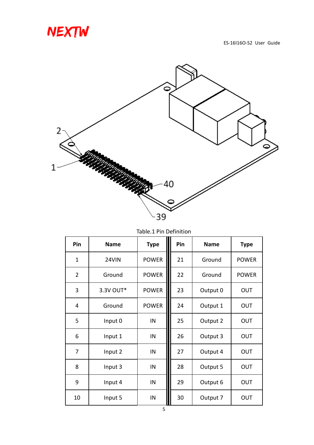



| Pin            | <b>Name</b> | <b>Type</b>  | Pin | <b>Name</b> | <b>Type</b>  |
|----------------|-------------|--------------|-----|-------------|--------------|
| $\mathbf{1}$   | 24VIN       | <b>POWER</b> | 21  | Ground      | <b>POWER</b> |
| $\overline{2}$ | Ground      | <b>POWER</b> | 22  | Ground      | <b>POWER</b> |
| 3              | 3.3V OUT*   | <b>POWER</b> | 23  | Output 0    | OUT          |
| 4              | Ground      | <b>POWER</b> | 24  | Output 1    | OUT          |
| 5              | Input 0     | IN           | 25  | Output 2    | OUT          |
| 6              | Input 1     | IN           | 26  | Output 3    | OUT          |
| 7              | Input 2     | IN           | 27  | Output 4    | OUT          |
| 8              | Input 3     | IN           | 28  | Output 5    | <b>OUT</b>   |
| 9              | Input 4     | IN           | 29  | Output 6    | OUT          |
| 10             | Input 5     | IN           | 30  | Output 7    | OUT          |

Table.1 Pin Definition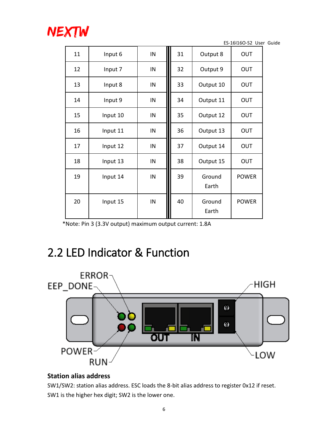

| 11 | IN<br>Input 6 |    | 31 | Output 8        | OUT          |
|----|---------------|----|----|-----------------|--------------|
| 12 | Input 7       | IN | 32 | Output 9        | OUT          |
| 13 | Input 8       | IN | 33 | Output 10       | OUT          |
| 14 | Input 9       | IN | 34 | Output 11       | OUT          |
| 15 | Input 10      | IN | 35 | Output 12       | OUT          |
| 16 | Input 11      | IN | 36 | Output 13       | OUT          |
| 17 | Input 12      | IN | 37 | Output 14       | <b>OUT</b>   |
| 18 | Input 13      | IN | 38 | Output 15       | OUT          |
| 19 | Input 14      | IN | 39 | Ground<br>Earth | <b>POWER</b> |
| 20 | Input 15      | IN | 40 | Ground<br>Earth | <b>POWER</b> |

\*Note: Pin 3 (3.3V output) maximum output current: 1.8A

### <span id="page-5-0"></span>2.2 LED Indicator & Function



#### **Station alias address**

SW1/SW2: station alias address. ESC loads the 8-bit alias address to register 0x12 if reset. SW1 is the higher hex digit; SW2 is the lower one.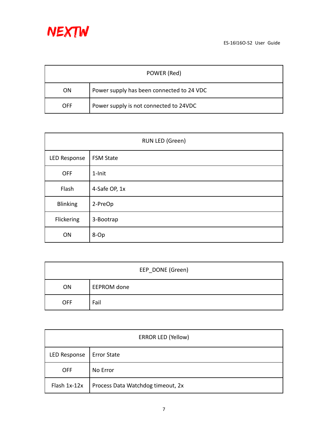

| POWER (Red) |                                           |  |  |  |
|-------------|-------------------------------------------|--|--|--|
| ON          | Power supply has been connected to 24 VDC |  |  |  |
| OFF         | Power supply is not connected to 24VDC    |  |  |  |

| RUN LED (Green) |                  |  |  |  |
|-----------------|------------------|--|--|--|
| LED Response    | <b>FSM State</b> |  |  |  |
| <b>OFF</b>      | $1$ -Init        |  |  |  |
| Flash           | 4-Safe OP, 1x    |  |  |  |
| <b>Blinking</b> | 2-PreOp          |  |  |  |
| Flickering      | 3-Bootrap        |  |  |  |
| ON              | 8-Op             |  |  |  |

| EEP_DONE (Green) |             |  |  |
|------------------|-------------|--|--|
| <b>ON</b>        | EEPROM done |  |  |
| <b>OFF</b>       | Fail        |  |  |

| <b>ERROR LED (Yellow)</b> |                                   |  |  |  |
|---------------------------|-----------------------------------|--|--|--|
| LED Response              | <b>Error State</b>                |  |  |  |
| <b>OFF</b>                | No Error                          |  |  |  |
| Flash 1x-12x              | Process Data Watchdog timeout, 2x |  |  |  |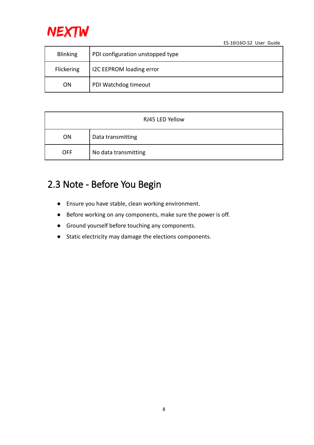

| <b>Blinking</b> | PDI configuration unstopped type |
|-----------------|----------------------------------|
| Flickering      | I2C EEPROM loading error         |
| ON              | PDI Watchdog timeout             |

| RJ45 LED Yellow |                      |  |  |
|-----------------|----------------------|--|--|
| ON              | Data transmitting    |  |  |
| <b>OFF</b>      | No data transmitting |  |  |

### <span id="page-7-0"></span>2.3 Note - Before You Begin

- Ensure you have stable, clean working environment.
- Before working on any components, make sure the power is off.
- Ground yourself before touching any components.
- Static electricity may damage the elections components.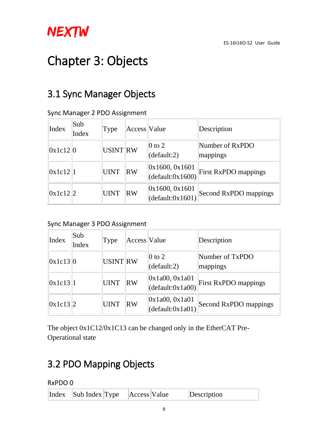

## <span id="page-8-0"></span>Chapter 3: Objects

### <span id="page-8-1"></span>3.1 Sync Manager Objects

| Index    | Sub<br>Index | Type            | Access Value |                                      | Description                 |
|----------|--------------|-----------------|--------------|--------------------------------------|-----------------------------|
| 0x1c12 0 |              | <b>USINT RW</b> |              | 0 to 2<br>(default:2)                | Number of RxPDO<br>mappings |
| 0x1c12 1 |              | UINT            | RW           | [0x1600, 0x1601]<br>(default:0x1600) | <b>First RxPDO mappings</b> |
| 0x1c12 2 |              | UINT            | RW           | [0x1600, 0x1601]<br>(default:0x1601) | Second RxPDO mappings       |

#### Sync Manager 2 PDO Assignment

### Sync Manager 3 PDO Assignment

| Index    | Sub<br>Index | Type            | Access Value |                                                               | Description                 |
|----------|--------------|-----------------|--------------|---------------------------------------------------------------|-----------------------------|
| 0x1c13 0 |              | <b>USINT RW</b> |              | 0 to 2<br>(default:2)                                         | Number of TxPDO<br>mappings |
| 0x1c13 1 |              | <b>UINT</b>     | RW           | [0x1a00, 0x1a01]<br>(default:0x1a00)                          | <b>First RxPDO mappings</b> |
| 0x1c13 2 |              | <b>UINT</b>     | RW           | [0x1a00, 0x1a01]<br>$\det\left( \text{default}:0x1a01\right)$ | Second RxPDO mappings       |

The object 0x1C12/0x1C13 can be changed only in the EtherCAT Pre-Operational state

### <span id="page-8-2"></span>3.2 PDO Mapping Objects

RxPDO 0

| Index Sub Index Type Access Value |  | Description |  |
|-----------------------------------|--|-------------|--|
|-----------------------------------|--|-------------|--|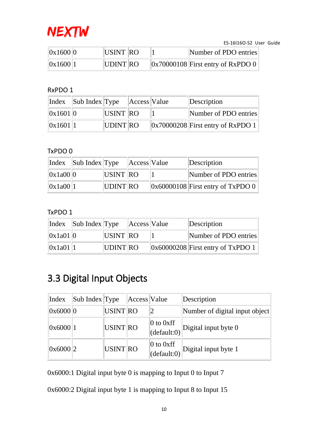

| 0x1600 0 | USINT RO | Number of PDO entries                           |
|----------|----------|-------------------------------------------------|
| 0x1600 1 | UDINT RO | $\vert 0x70000108 \vert$ First entry of RxPDO 0 |

#### RxPDO 1

|          | Index Sub Index Type Access Value |          |  | Description                                     |
|----------|-----------------------------------|----------|--|-------------------------------------------------|
| 0x1601 0 |                                   | USINT RO |  | Number of PDO entries                           |
| 0x1601 1 |                                   | UDINT RO |  | $\vert 0x70000208 \vert$ First entry of RxPDO 1 |

### TxPDO 0

|          | $\left \text{Index}\right $ Sub Index Type |          | Access Value | Description                                               |
|----------|--------------------------------------------|----------|--------------|-----------------------------------------------------------|
| 0x1a00 0 |                                            | USINT RO |              | Number of PDO entries                                     |
| 0x1a00 1 |                                            | UDINT RO |              | $\left  0 \times 60000108 \right $ First entry of TxPDO 0 |

### TxPDO 1

|          | Index Sub Index Type Access Value |          |  | Description                                     |
|----------|-----------------------------------|----------|--|-------------------------------------------------|
| 0x1a01 0 |                                   | USINT RO |  | Number of PDO entries                           |
| 0x1a01 1 |                                   | UDINT RO |  | $\vert 0x60000208 \vert$ First entry of TxPDO 1 |

### <span id="page-9-0"></span>3.3 Digital Input Objects

| Index    | Sub Index $T$ ype |          | Access Value |                                                                | Description                                                                                   |
|----------|-------------------|----------|--------------|----------------------------------------------------------------|-----------------------------------------------------------------------------------------------|
| 0x6000 0 |                   | USINT RO |              |                                                                | Number of digital input object                                                                |
| 0x6000   |                   | USINT RO |              |                                                                | $\begin{array}{c c} 0 \text{ to 0xff} \\ \text{(default:0)} \end{array}$ Digital input byte 0 |
| 0x6000 2 |                   | USINT RO |              | $\vert 0 \text{ to } 0 \text{xff} \vert$<br>$\det$ (default:0) | Digital input byte 1                                                                          |

0x6000:1 Digital input byte 0 is mapping to Input 0 to Input 7

0x6000:2 Digital input byte 1 is mapping to Input 8 to Input 15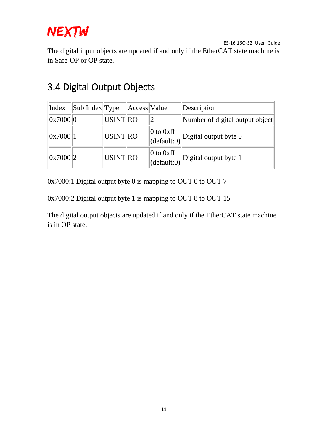

ES-16I16O-S2 User Guide The digital input objects are updated if and only if the EtherCAT state machine is in Safe-OP or OP state.

| Index    | Sub Index Type |                 | Access Value |                                                                 | Description                     |
|----------|----------------|-----------------|--------------|-----------------------------------------------------------------|---------------------------------|
| 0x7000 0 |                | <b>USINT RO</b> |              |                                                                 | Number of digital output object |
| 0x7000 1 |                | USINT RO        |              | $\vert 0$ to 0xff<br>$\vert$ (default:0)                        | Digital output byte $0$         |
| 0x7000 2 |                | <b>USINT RO</b> |              | $\vert 0 \text{ to } 0 \text{xff} \vert$<br>$\vert$ (default:0) | Digital output byte 1           |

### <span id="page-10-0"></span>3.4 Digital Output Objects

0x7000:1 Digital output byte 0 is mapping to OUT 0 to OUT 7

0x7000:2 Digital output byte 1 is mapping to OUT 8 to OUT 15

The digital output objects are updated if and only if the EtherCAT state machine is in OP state.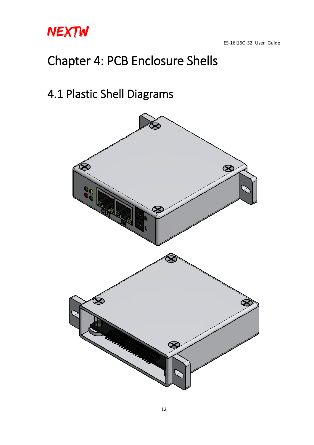

## <span id="page-11-0"></span>Chapter 4: PCB Enclosure Shells

### <span id="page-11-1"></span>4.1 Plastic Shell Diagrams